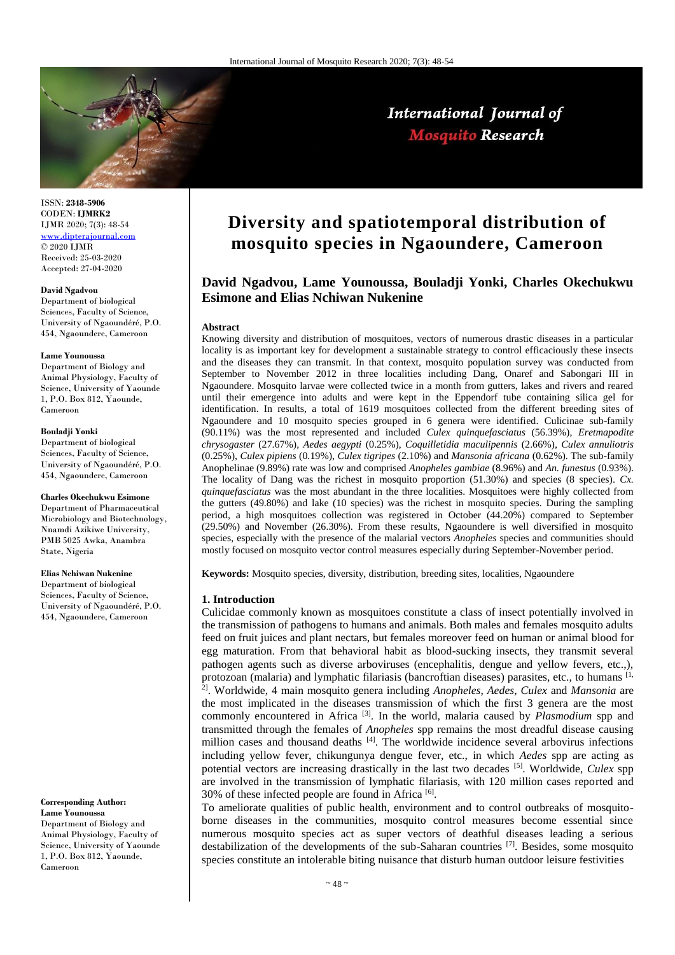

## International Journal of **Mosquito Research**

ISSN: **2348-5906** CODEN: **IJMRK2** IJMR 2020; 7(3): 48-54 [www.dipterajournal.com](file:///D:/2020%20files/01-06-2020/08-06-2020/Mos/Part%20A/www.dipterajournal.com) © 2020 IJMR Received: 25-03-2020 Accepted: 27-04-2020

#### **David Ngadvou**

Department of biological Sciences, Faculty of Science, University of Ngaoundéré, P.O. 454, Ngaoundere, Cameroon

#### **Lame Younoussa**

Department of Biology and Animal Physiology, Faculty of Science, University of Yaounde 1, P.O. Box 812, Yaounde, Cameroon

#### **Bouladji Yonki**

Department of biological Sciences, Faculty of Science, University of Ngaoundéré, P.O. 454, Ngaoundere, Cameroon

#### **Charles Okechukwu Esimone**

Department of Pharmaceutical Microbiology and Biotechnology, Nnamdi Azikiwe University, PMB 5025 Awka, Anambra State, Nigeria

## **Elias Nchiwan Nukenine**

Department of biological Sciences, Faculty of Science, University of Ngaoundéré, P.O. 454, Ngaoundere, Cameroon

#### **Corresponding Author: Lame Younoussa**

Department of Biology and Animal Physiology, Faculty of Science, University of Yaounde 1, P.O. Box 812, Yaounde, Cameroon

# **Diversity and spatiotemporal distribution of mosquito species in Ngaoundere, Cameroon**

## **David Ngadvou, Lame Younoussa, Bouladji Yonki, Charles Okechukwu Esimone and Elias Nchiwan Nukenine**

#### **Abstract**

Knowing diversity and distribution of mosquitoes, vectors of numerous drastic diseases in a particular locality is as important key for development a sustainable strategy to control efficaciously these insects and the diseases they can transmit. In that context, mosquito population survey was conducted from September to November 2012 in three localities including Dang, Onaref and Sabongari III in Ngaoundere. Mosquito larvae were collected twice in a month from gutters, lakes and rivers and reared until their emergence into adults and were kept in the Eppendorf tube containing silica gel for identification. In results, a total of 1619 mosquitoes collected from the different breeding sites of Ngaoundere and 10 mosquito species grouped in 6 genera were identified. Culicinae sub-family (90.11%) was the most represented and included *Culex quinquefasciatus* (56.39%), *Eretmapodite chrysogaster* (27.67%), *Aedes aegypti* (0.25%), *Coquilletidia maculipennis* (2.66%)*, Culex annuliotris*  (0.25%), *Culex pipiens* (0.19%), *Culex tigripes* (2.10%) and *Mansonia africana* (0.62%). The sub-family Anophelinae (9.89%) rate was low and comprised *Anopheles gambiae* (8.96%) and *An. funestus* (0.93%). The locality of Dang was the richest in mosquito proportion (51.30%) and species (8 species). *Cx. quinquefasciatus* was the most abundant in the three localities. Mosquitoes were highly collected from the gutters (49.80%) and lake (10 species) was the richest in mosquito species. During the sampling period, a high mosquitoes collection was registered in October (44.20%) compared to September (29.50%) and November (26.30%). From these results, Ngaoundere is well diversified in mosquito species, especially with the presence of the malarial vectors *Anopheles* species and communities should mostly focused on mosquito vector control measures especially during September-November period.

**Keywords:** Mosquito species, diversity, distribution, breeding sites, localities, Ngaoundere

#### **1. Introduction**

Culicidae commonly known as mosquitoes constitute a class of insect potentially involved in the transmission of pathogens to humans and animals. Both males and females mosquito adults feed on fruit juices and plant nectars, but females moreover feed on human or animal blood for egg maturation. From that behavioral habit as blood-sucking insects, they transmit several pathogen agents such as diverse arboviruses (encephalitis, dengue and yellow fevers, etc.,), protozoan (malaria) and lymphatic filariasis (bancroftian diseases) parasites, etc., to humans [1, 2]. Worldwide, 4 main mosquito genera including *Anopheles, Aedes, Culex* and *Mansonia* are the most implicated in the diseases transmission of which the first 3 genera are the most commonly encountered in Africa [3]. In the world, malaria caused by *Plasmodium* spp and transmitted through the females of *Anopheles* spp remains the most dreadful disease causing million cases and thousand deaths [4]. The worldwide incidence several arbovirus infections including yellow fever, chikungunya dengue fever, etc., in which *Aedes* spp are acting as potential vectors are increasing drastically in the last two decades [5]. Worldwide, *Culex* spp are involved in the transmission of lymphatic filariasis, with 120 million cases reported and 30% of these infected people are found in Africa [6].

To ameliorate qualities of public health, environment and to control outbreaks of mosquitoborne diseases in the communities, mosquito control measures become essential since numerous mosquito species act as super vectors of deathful diseases leading a serious destabilization of the developments of the sub-Saharan countries  $[7]$ . Besides, some mosquito species constitute an intolerable biting nuisance that disturb human outdoor leisure festivities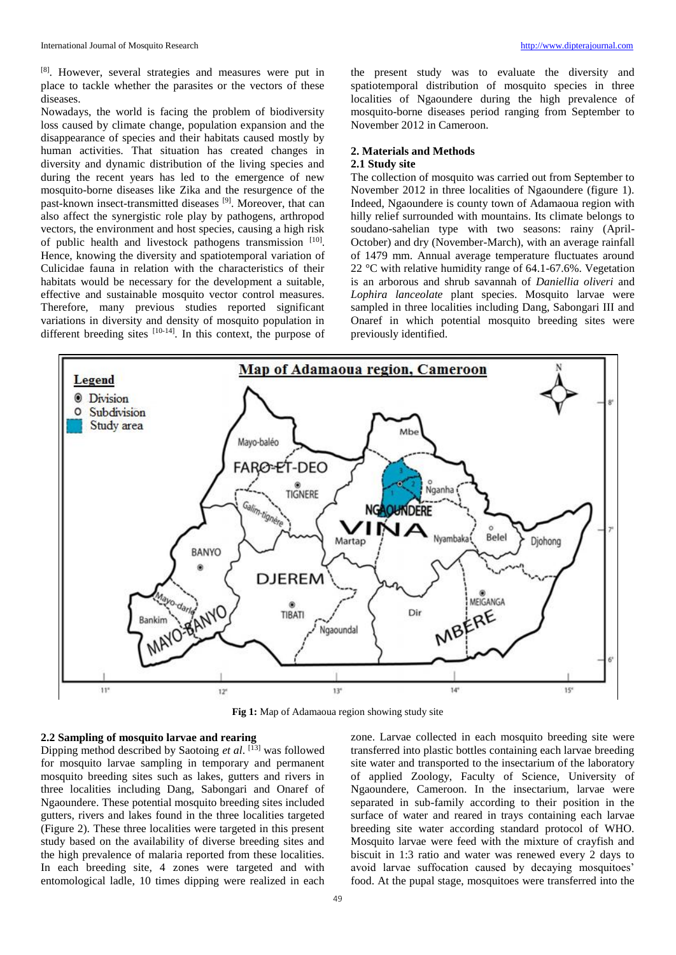[8]. However, several strategies and measures were put in place to tackle whether the parasites or the vectors of these diseases.

Nowadays, the world is facing the problem of biodiversity loss caused by climate change, population expansion and the disappearance of species and their habitats caused mostly by human activities. That situation has created changes in diversity and dynamic distribution of the living species and during the recent years has led to the emergence of new mosquito-borne diseases like Zika and the resurgence of the past-known insect-transmitted diseases <sup>[9]</sup>. Moreover, that can also affect the synergistic role play by pathogens, arthropod vectors, the environment and host species, causing a high risk of public health and livestock pathogens transmission [10]. Hence, knowing the diversity and spatiotemporal variation of Culicidae fauna in relation with the characteristics of their habitats would be necessary for the development a suitable, effective and sustainable mosquito vector control measures. Therefore, many previous studies reported significant variations in diversity and density of mosquito population in different breeding sites  $[10-14]$ . In this context, the purpose of

the present study was to evaluate the diversity and spatiotemporal distribution of mosquito species in three localities of Ngaoundere during the high prevalence of mosquito-borne diseases period ranging from September to November 2012 in Cameroon.

## **2. Materials and Methods**

#### **2.1 Study site**

The collection of mosquito was carried out from September to November 2012 in three localities of Ngaoundere (figure 1). Indeed, Ngaoundere is county town of Adamaoua region with hilly relief surrounded with mountains. Its climate belongs to soudano-sahelian type with two seasons: rainy (April-October) and dry (November-March), with an average rainfall of 1479 mm. Annual average temperature fluctuates around 22 °C with relative humidity range of 64.1-67.6%. Vegetation is an arborous and shrub savannah of *Daniellia oliveri* and *Lophira lanceolate* plant species. Mosquito larvae were sampled in three localities including Dang, Sabongari III and Onaref in which potential mosquito breeding sites were previously identified.



**Fig 1:** Map of Adamaoua region showing study site

## **2.2 Sampling of mosquito larvae and rearing**

Dipping method described by Saotoing *et al*. [13] was followed for mosquito larvae sampling in temporary and permanent mosquito breeding sites such as lakes, gutters and rivers in three localities including Dang, Sabongari and Onaref of Ngaoundere. These potential mosquito breeding sites included gutters, rivers and lakes found in the three localities targeted (Figure 2). These three localities were targeted in this present study based on the availability of diverse breeding sites and the high prevalence of malaria reported from these localities. In each breeding site, 4 zones were targeted and with entomological ladle, 10 times dipping were realized in each

zone. Larvae collected in each mosquito breeding site were transferred into plastic bottles containing each larvae breeding site water and transported to the insectarium of the laboratory of applied Zoology, Faculty of Science, University of Ngaoundere, Cameroon. In the insectarium, larvae were separated in sub-family according to their position in the surface of water and reared in trays containing each larvae breeding site water according standard protocol of WHO. Mosquito larvae were feed with the mixture of crayfish and biscuit in 1:3 ratio and water was renewed every 2 days to avoid larvae suffocation caused by decaying mosquitoes' food. At the pupal stage, mosquitoes were transferred into the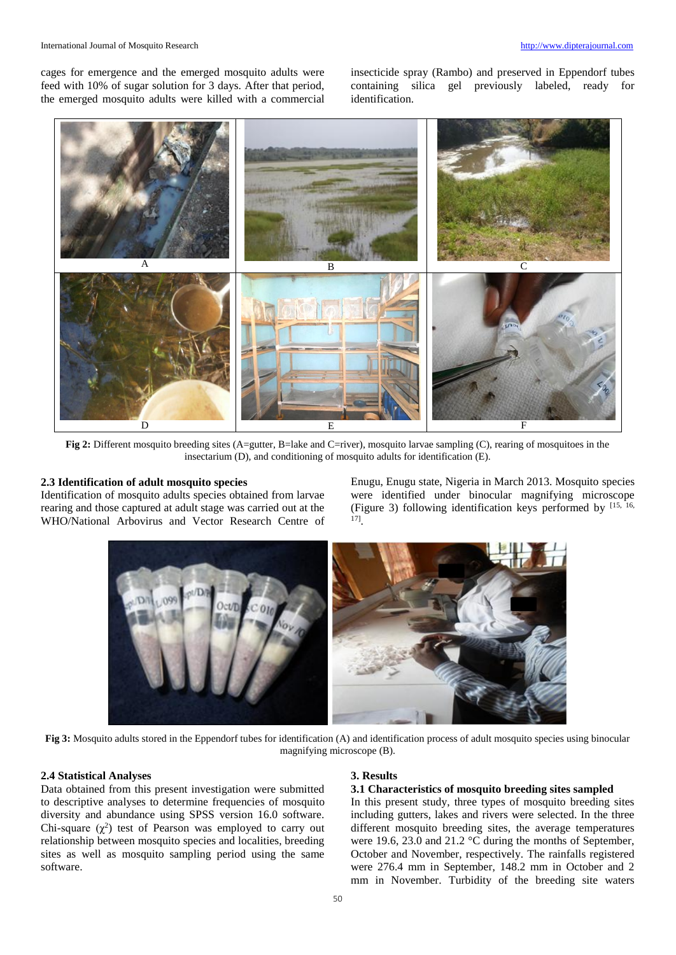cages for emergence and the emerged mosquito adults were feed with 10% of sugar solution for 3 days. After that period, the emerged mosquito adults were killed with a commercial insecticide spray (Rambo) and preserved in Eppendorf tubes containing silica gel previously labeled, ready for identification.



**Fig 2:** Different mosquito breeding sites (A=gutter, B=lake and C=river), mosquito larvae sampling (C), rearing of mosquitoes in the insectarium (D), and conditioning of mosquito adults for identification (E).

#### **2.3 Identification of adult mosquito species**

Identification of mosquito adults species obtained from larvae rearing and those captured at adult stage was carried out at the WHO/National Arbovirus and Vector Research Centre of Enugu, Enugu state, Nigeria in March 2013. Mosquito species were identified under binocular magnifying microscope (Figure 3) following identification keys performed by [15, 16, 17] .



**Fig 3:** Mosquito adults stored in the Eppendorf tubes for identification (A) and identification process of adult mosquito species using binocular magnifying microscope (B).

#### **2.4 Statistical Analyses**

Data obtained from this present investigation were submitted to descriptive analyses to determine frequencies of mosquito diversity and abundance using SPSS version 16.0 software. Chi-square  $(\chi^2)$  test of Pearson was employed to carry out relationship between mosquito species and localities, breeding sites as well as mosquito sampling period using the same software.

#### **3. Results**

#### **3.1 Characteristics of mosquito breeding sites sampled**

In this present study, three types of mosquito breeding sites including gutters, lakes and rivers were selected. In the three different mosquito breeding sites, the average temperatures were 19.6, 23.0 and 21.2 °C during the months of September, October and November, respectively. The rainfalls registered were 276.4 mm in September, 148.2 mm in October and 2 mm in November. Turbidity of the breeding site waters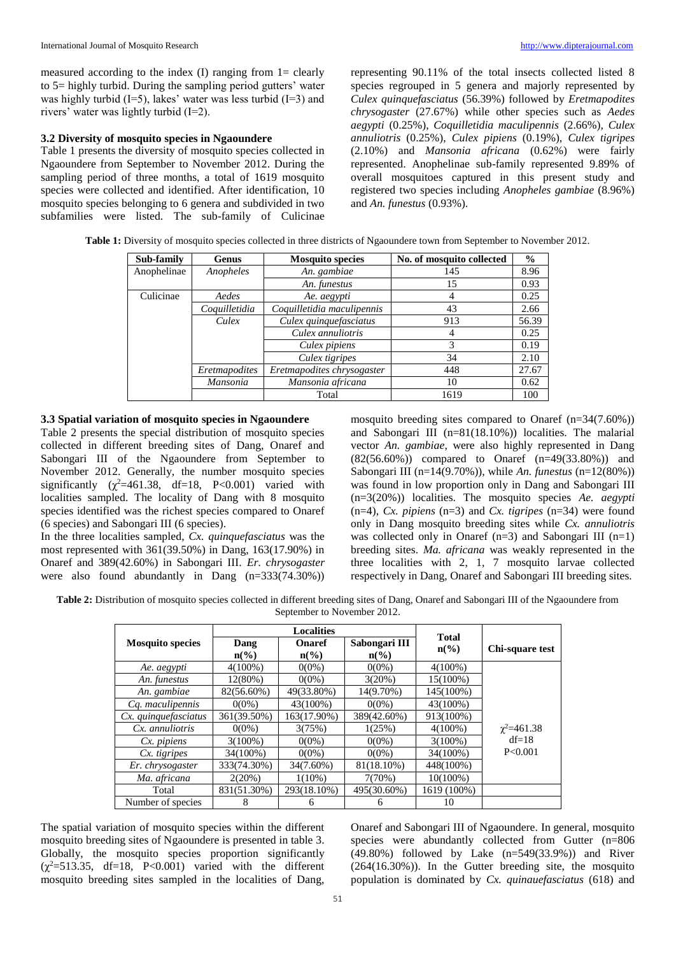measured according to the index  $(I)$  ranging from  $I =$  clearly to 5= highly turbid. During the sampling period gutters' water was highly turbid  $(I=5)$ , lakes' water was less turbid  $(I=3)$  and rivers' water was lightly turbid (I=2).

### **3.2 Diversity of mosquito species in Ngaoundere**

Table 1 presents the diversity of mosquito species collected in Ngaoundere from September to November 2012. During the sampling period of three months, a total of 1619 mosquito species were collected and identified. After identification, 10 mosquito species belonging to 6 genera and subdivided in two subfamilies were listed. The sub-family of Culicinae representing 90.11% of the total insects collected listed 8 species regrouped in 5 genera and majorly represented by *Culex quinquefasciatus* (56.39%) followed by *Eretmapodites chrysogaster* (27.67%) while other species such as *Aedes aegypti* (0.25%), *Coquilletidia maculipennis* (2.66%)*, Culex annuliotris* (0.25%), *Culex pipiens* (0.19%), *Culex tigripes*  (2.10%) and *Mansonia africana* (0.62%) were fairly represented. Anophelinae sub-family represented 9.89% of overall mosquitoes captured in this present study and registered two species including *Anopheles gambiae* (8.96%) and *An. funestus* (0.93%).

| Table 1: Diversity of mosquito species collected in three districts of Ngaoundere town from September to November 2012 |  |
|------------------------------------------------------------------------------------------------------------------------|--|
|------------------------------------------------------------------------------------------------------------------------|--|

| Sub-family  | <b>Genus</b>    | <b>Mosquito species</b>    | No. of mosquito collected | $\frac{0}{0}$ |
|-------------|-----------------|----------------------------|---------------------------|---------------|
| Anophelinae | Anopheles       | An. gambiae                | 145                       |               |
|             |                 | An. funestus               | 15                        | 0.93          |
| Culicinae   | Aedes           | Ae. aegypti                | 4                         | 0.25          |
|             | Coquilletidia   | Coquilletidia maculipennis | 43                        | 2.66          |
|             | Culex           | Culex quinquefasciatus     | 913                       | 56.39         |
|             |                 | Culex annuliotris          | 4                         | 0.25          |
|             |                 | Culex pipiens              | 3                         | 0.19          |
|             |                 | Culex tigripes             | 34                        | 2.10          |
|             | Eretmapodites   | Eretmapodites chrysogaster | 448                       | 27.67         |
|             | <b>Mansonia</b> | Mansonia africana          | 10                        | 0.62          |
|             |                 | Total                      | 1619                      | 100           |

#### **3.3 Spatial variation of mosquito species in Ngaoundere**

Table 2 presents the special distribution of mosquito species collected in different breeding sites of Dang, Onaref and Sabongari III of the Ngaoundere from September to November 2012. Generally, the number mosquito species significantly  $(\chi^2=461.38, df=18, P<0.001)$  varied with localities sampled. The locality of Dang with 8 mosquito species identified was the richest species compared to Onaref (6 species) and Sabongari III (6 species).

In the three localities sampled, *Cx. quinquefasciatus* was the most represented with 361(39.50%) in Dang, 163(17.90%) in Onaref and 389(42.60%) in Sabongari III. *Er. chrysogaster*  were also found abundantly in Dang (n=333(74.30%)) mosquito breeding sites compared to Onaref (n=34(7.60%)) and Sabongari III (n=81(18.10%)) localities. The malarial vector *An. gambiae*, were also highly represented in Dang (82(56.60%)) compared to Onaref (n=49(33.80%)) and Sabongari III (n=14(9.70%)), while *An. funestus* (n=12(80%)) was found in low proportion only in Dang and Sabongari III (n=3(20%)) localities. The mosquito species *Ae. aegypti* (n=4), *Cx. pipiens* (n=3) and *Cx. tigripes* (n=34) were found only in Dang mosquito breeding sites while *Cx. annuliotris* was collected only in Onaref  $(n=3)$  and Sabongari III  $(n=1)$ breeding sites. *Ma. africana* was weakly represented in the three localities with 2, 1, 7 mosquito larvae collected respectively in Dang, Onaref and Sabongari III breeding sites.

**Table 2:** Distribution of mosquito species collected in different breeding sites of Dang, Onaref and Sabongari III of the Ngaoundere from September to November 2012.

|                         | <b>Localities</b>       |                                  |                                   |                                             |                   |
|-------------------------|-------------------------|----------------------------------|-----------------------------------|---------------------------------------------|-------------------|
| <b>Mosquito species</b> | Dang<br>$n\binom{0}{0}$ | <b>Onaref</b><br>$n\binom{0}{0}$ | Sabongari III<br>$\mathbf{n}(\%)$ | <b>Total</b><br>$n\left(\frac{6}{6}\right)$ | Chi-square test   |
| Ae. aegypti             | $4(100\%)$              | $0(0\%)$                         | $0(0\%)$                          | $4(100\%)$                                  |                   |
| An. funestus            | 12(80%)                 | $0(0\%)$                         | 3(20%)                            | 15(100%)                                    |                   |
| An. gambiae             | 82(56.60%)              | 49(33.80%)                       | 14(9.70%)                         | 145(100%)                                   |                   |
| Cq. maculipennis        | $0(0\%)$                | 43(100%)                         | $0(0\%)$                          | 43(100%)                                    |                   |
| Cx. quinquefasciatus    | 361(39.50%)             | 163(17.90%)                      | 389(42.60%)                       | 913(100%)                                   |                   |
| Cx. annuliotris         | $0(0\%)$                | 3(75%)                           | 1(25%)                            | $4(100\%)$                                  | $\chi^2 = 461.38$ |
| $Cx.$ pipiens           | $3(100\%)$              | $0(0\%)$                         | $0(0\%)$                          | $3(100\%)$                                  | $df=18$           |
| Cx. tigripes            | 34(100%)                | $0(0\%)$                         | $0(0\%)$                          | 34(100%)                                    | P < 0.001         |
| Er. chrysogaster        | 333(74.30%)             | 34(7.60%)                        | 81(18.10%)                        | 448(100%)                                   |                   |
| Ma. africana            | 2(20%)                  | $1(10\%)$                        | 7(70%)                            | $10(100\%)$                                 |                   |
| Total                   | 831(51.30%)             | 293(18.10%)                      | 495(30.60%)                       | 1619 (100%)                                 |                   |
| Number of species       | 8                       | 6                                | h                                 | 10                                          |                   |

The spatial variation of mosquito species within the different mosquito breeding sites of Ngaoundere is presented in table 3. Globally, the mosquito species proportion significantly  $(\chi^2 = 513.35, df = 18, P < 0.001)$  varied with the different mosquito breeding sites sampled in the localities of Dang,

Onaref and Sabongari III of Ngaoundere. In general, mosquito species were abundantly collected from Gutter (n=806 (49.80%) followed by Lake (n=549(33.9%)) and River (264(16.30%)). In the Gutter breeding site, the mosquito population is dominated by *Cx. quinauefasciatus* (618) and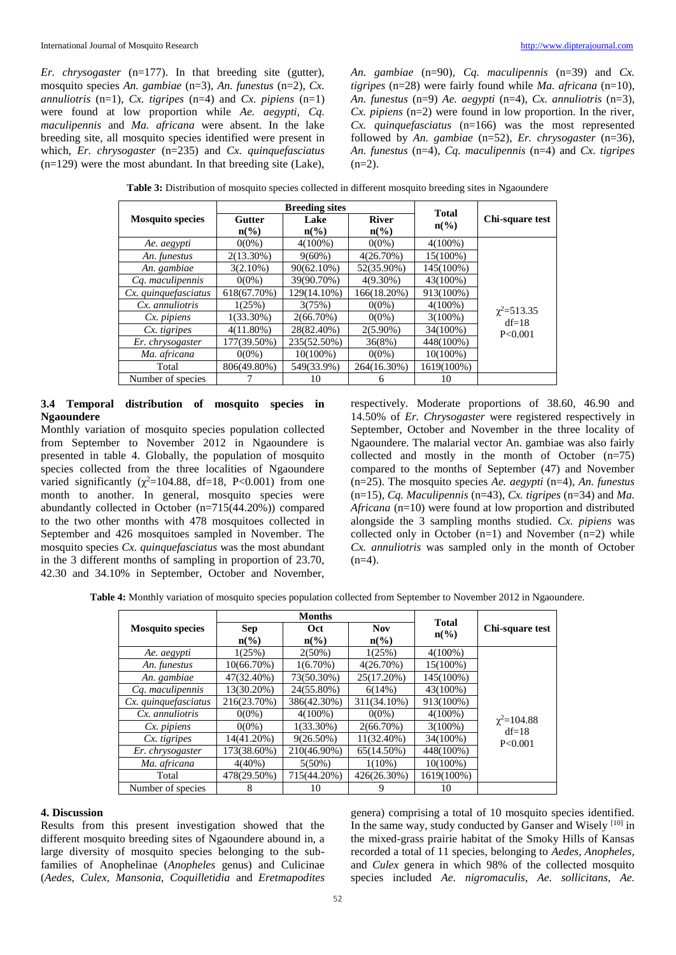*Er. chrysogaster* (n=177). In that breeding site (gutter), mosquito species *An. gambiae* (n=3), *An. funestus* (n=2), *Cx. annuliotris* (n=1), *Cx. tigripes* (n=4) and *Cx. pipiens* (n=1) were found at low proportion while *Ae. aegypti, Cq. maculipennis* and *Ma. africana* were absent. In the lake breeding site, all mosquito species identified were present in which, *Er. chrysogaster* (n=235) and *Cx. quinquefasciatus* (n=129) were the most abundant. In that breeding site (Lake), *An. gambiae* (n=90)*, Cq. maculipennis* (n=39) and *Cx. tigripes* (n=28) were fairly found while *Ma. africana* (n=10), *An. funestus* (n=9) *Ae. aegypti* (n=4), *Cx. annuliotris* (n=3), *Cx. pipiens* (n=2) were found in low proportion. In the river, *Cx. quinquefasciatus* (n=166) was the most represented followed by *An. gambiae* (n=52), *Er. chrysogaster* (n=36), *An. funestus* (n=4), *Cq. maculipennis* (n=4) and *Cx. tigripes*  $(n=2)$ .

|                         | <b>Breeding sites</b>       |                 |                 |                                 |                   |
|-------------------------|-----------------------------|-----------------|-----------------|---------------------------------|-------------------|
| <b>Mosquito species</b> | <b>Gutter</b>               | Lake            | <b>River</b>    | <b>Total</b><br>$n\binom{0}{0}$ | Chi-square test   |
|                         | $n\left(\frac{0}{0}\right)$ | $n\binom{0}{0}$ | $n\binom{0}{0}$ |                                 |                   |
| Ae. aegypti             | $0(0\%)$                    | $4(100\%)$      | $0(0\%)$        | $4(100\%)$                      |                   |
| An. funestus            | 2(13.30%)                   | $9(60\%)$       | $4(26.70\%)$    | 15(100%)                        |                   |
| An. gambiae             | $3(2.10\%)$                 | $90(62.10\%)$   | 52(35.90%)      | 145(100%)                       |                   |
| Cq. maculipennis        | $0(0\%)$                    | 39(90.70%)      | $4(9.30\%)$     | 43(100%)                        |                   |
| Cx. quinquefasciatus    | 618(67.70%)                 | 129(14.10%)     | 166(18.20%)     | 913(100%)                       |                   |
| $Cx.$ annuliotris       | 1(25%)                      | 3(75%)          | $0(0\%)$        | $4(100\%)$                      | $\chi^2 = 513.35$ |
| $Cx.$ pipiens           | $1(33.30\%)$                | $2(66.70\%)$    | $0(0\%)$        | $3(100\%)$                      | $df=18$           |
| Cx. tigripes            | $4(11.80\%)$                | 28(82.40%)      | $2(5.90\%)$     | 34(100%)                        | P < 0.001         |
| Er. chrysogaster        | 177(39.50%)                 | 235(52.50%)     | 36(8%)          | 448(100%)                       |                   |
| Ma. africana            | $0(0\%)$                    | $10(100\%)$     | $0(0\%)$        | $10(100\%)$                     |                   |
| Total                   | 806(49.80%)                 | 549(33.9%)      | 264(16.30%)     | 1619(100%)                      |                   |
| Number of species       |                             | 10              | 6               | 10                              |                   |

**Table 3:** Distribution of mosquito species collected in different mosquito breeding sites in Ngaoundere

#### **3.4 Temporal distribution of mosquito species in Ngaoundere**

Monthly variation of mosquito species population collected from September to November 2012 in Ngaoundere is presented in table 4. Globally, the population of mosquito species collected from the three localities of Ngaoundere varied significantly ( $\chi^2$ =104.88, df=18, P<0.001) from one month to another. In general, mosquito species were abundantly collected in October (n=715(44.20%)) compared to the two other months with 478 mosquitoes collected in September and 426 mosquitoes sampled in November. The mosquito species *Cx. quinquefasciatus* was the most abundant in the 3 different months of sampling in proportion of 23.70, 42.30 and 34.10% in September, October and November,

respectively. Moderate proportions of 38.60, 46.90 and 14.50% of *Er. Chrysogaster* were registered respectively in September, October and November in the three locality of Ngaoundere. The malarial vector An. gambiae was also fairly collected and mostly in the month of October (n=75) compared to the months of September (47) and November (n=25). The mosquito species *Ae. aegypti* (n=4), *An. funestus* (n=15), *Cq. Maculipennis* (n=43), *Cx. tigripes* (n=34) and *Ma. Africana* (n=10) were found at low proportion and distributed alongside the 3 sampling months studied. *Cx. pipiens* was collected only in October  $(n=1)$  and November  $(n=2)$  while *Cx. annuliotris* was sampled only in the month of October  $(n=4)$ .

**Table 4:** Monthly variation of mosquito species population collected from September to November 2012 in Ngaoundere.

|                         | <b>Months</b>               |                 |                 | <b>Total</b>    |                  |
|-------------------------|-----------------------------|-----------------|-----------------|-----------------|------------------|
| <b>Mosquito species</b> | <b>Sep</b>                  | <b>Oct</b>      | <b>Nov</b>      | $n\binom{0}{0}$ | Chi-square test  |
|                         | $n\left(\frac{0}{0}\right)$ | $n\binom{0}{0}$ | $n\binom{0}{0}$ |                 |                  |
| Ae. aegypti             | 1(25%)                      | $2(50\%)$       | 1(25%)          | $4(100\%)$      |                  |
| An. funestus            | $10(66.70\%)$               | $1(6.70\%)$     | $4(26.70\%)$    | 15(100%)        |                  |
| An. gambiae             | 47(32.40%)                  | 73(50.30%)      | 25(17.20%)      | 145(100%)       |                  |
| Cq. maculipennis        | 13(30.20%)                  | 24(55.80%)      | 6(14%)          | 43(100%)        |                  |
| Cx. quinquefasciatus    | 216(23.70%)                 | 386(42.30%)     | 311(34.10%)     | 913(100%)       |                  |
| Cx. annuliotris         | $0(0\%)$                    | $4(100\%)$      | $0(0\%)$        | $4(100\%)$      | $\chi^2$ =104.88 |
| $Cx.$ pipiens           | $0(0\%)$                    | $1(33.30\%)$    | $2(66.70\%)$    | $3(100\%)$      | $df=18$          |
| Cx. tigripes            | 14(41.20%)                  | $9(26.50\%)$    | 11(32.40%)      | 34(100%)        | P < 0.001        |
| Er. chrysogaster        | 173(38.60%)                 | 210(46.90%)     | 65(14.50%)      | 448(100%)       |                  |
| Ma. africana            | $4(40\%)$                   | $5(50\%)$       | $1(10\%)$       | 10(100%)        |                  |
| Total                   | 478(29.50%)                 | 715(44.20%)     | 426(26.30%)     | 1619(100%)      |                  |
| Number of species       | 8                           | 10              | 9               | 10              |                  |

#### **4. Discussion**

Results from this present investigation showed that the different mosquito breeding sites of Ngaoundere abound in, a large diversity of mosquito species belonging to the subfamilies of Anophelinae (*Anopheles* genus) and Culicinae (*Aedes, Culex, Mansonia, Coquilletidia* and *Eretmapodites*

genera) comprising a total of 10 mosquito species identified. In the same way, study conducted by Ganser and Wisely [10] in the mixed-grass prairie habitat of the Smoky Hills of Kansas recorded a total of 11 species, belonging to *Aedes*, *Anopheles*, and *Culex* genera in which 98% of the collected mosquito species included *Ae. nigromaculis*, *Ae. sollicitans*, *Ae.*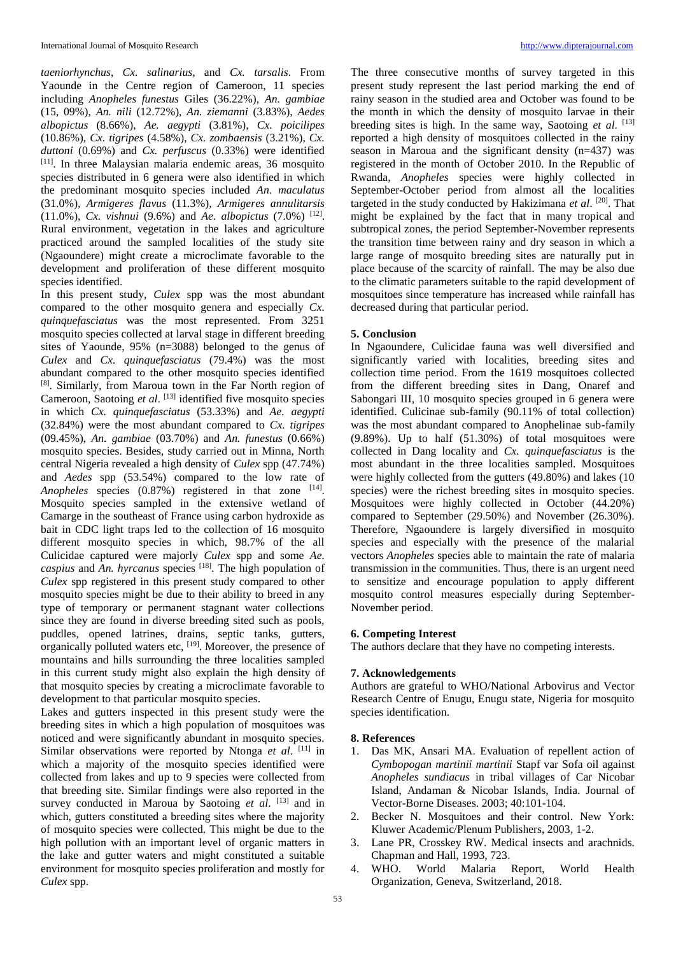*taeniorhynchus*, *Cx. salinarius*, and *Cx. tarsalis*. From Yaounde in the Centre region of Cameroon, 11 species including *Anopheles funestus* Giles (36.22%), *An. gambiae* (15, 09%), *An. nili* (12.72%), *An. ziemanni* (3.83%), *Aedes albopictus* (8.66%), *Ae. aegypti* (3.81%), *Cx. poicilipes* (10.86%), *Cx. tigripes* (4.58%), *Cx. zombaensis* (3.21%), *Cx. duttoni* (0.69%) and *Cx. perfuscus* (0.33%) were identified [11]. In three Malaysian malaria endemic areas, 36 mosquito species distributed in 6 genera were also identified in which the predominant mosquito species included *An. maculatus* (31.0%), *Armigeres flavus* (11.3%), *Armigeres annulitarsis* (11.0%), *Cx. vishnui* (9.6%) and *Ae. albopictus* (7.0%) [12] . Rural environment, vegetation in the lakes and agriculture practiced around the sampled localities of the study site (Ngaoundere) might create a microclimate favorable to the development and proliferation of these different mosquito species identified.

In this present study, *Culex* spp was the most abundant compared to the other mosquito genera and especially *Cx. quinquefasciatus* was the most represented. From 3251 mosquito species collected at larval stage in different breeding sites of Yaounde, 95% (n=3088) belonged to the genus of *Culex* and *Cx. quinquefasciatus* (79.4%) was the most abundant compared to the other mosquito species identified [8]. Similarly, from Maroua town in the Far North region of Cameroon, Saotoing et al. [13] identified five mosquito species in which *Cx. quinquefasciatus* (53.33%) and *Ae. aegypti* (32.84%) were the most abundant compared to *Cx. tigripes* (09.45%), *An. gambiae* (03.70%) and *An. funestus* (0.66%) mosquito species. Besides, study carried out in Minna, North central Nigeria revealed a high density of *Culex* spp (47.74%) and *Aedes* spp (53.54%) compared to the low rate of Anopheles species (0.87%) registered in that zone [14]. Mosquito species sampled in the extensive wetland of Camarge in the southeast of France using carbon hydroxide as bait in CDC light traps led to the collection of 16 mosquito different mosquito species in which, 98.7% of the all Culicidae captured were majorly *Culex* spp and some *Ae. caspius* and *An. hyrcanus* species [18]. The high population of *Culex* spp registered in this present study compared to other mosquito species might be due to their ability to breed in any type of temporary or permanent stagnant water collections since they are found in diverse breeding sited such as pools, puddles, opened latrines, drains, septic tanks, gutters, organically polluted waters etc,  $[19]$ . Moreover, the presence of mountains and hills surrounding the three localities sampled in this current study might also explain the high density of that mosquito species by creating a microclimate favorable to development to that particular mosquito species.

Lakes and gutters inspected in this present study were the breeding sites in which a high population of mosquitoes was noticed and were significantly abundant in mosquito species. Similar observations were reported by Ntonga et al. [11] in which a majority of the mosquito species identified were collected from lakes and up to 9 species were collected from that breeding site. Similar findings were also reported in the survey conducted in Maroua by Saotoing *et al.* [13] and in which, gutters constituted a breeding sites where the majority of mosquito species were collected. This might be due to the high pollution with an important level of organic matters in the lake and gutter waters and might constituted a suitable environment for mosquito species proliferation and mostly for *Culex* spp.

The three consecutive months of survey targeted in this present study represent the last period marking the end of rainy season in the studied area and October was found to be the month in which the density of mosquito larvae in their breeding sites is high. In the same way, Saotoing *et al*. [13] reported a high density of mosquitoes collected in the rainy season in Maroua and the significant density (n=437) was registered in the month of October 2010. In the Republic of Rwanda, *Anopheles* species were highly collected in September-October period from almost all the localities targeted in the study conducted by Hakizimana *et al*. [20]. That might be explained by the fact that in many tropical and subtropical zones, the period September-November represents the transition time between rainy and dry season in which a large range of mosquito breeding sites are naturally put in place because of the scarcity of rainfall. The may be also due to the climatic parameters suitable to the rapid development of mosquitoes since temperature has increased while rainfall has decreased during that particular period.

#### **5. Conclusion**

In Ngaoundere, Culicidae fauna was well diversified and significantly varied with localities, breeding sites and collection time period. From the 1619 mosquitoes collected from the different breeding sites in Dang, Onaref and Sabongari III, 10 mosquito species grouped in 6 genera were identified. Culicinae sub-family (90.11% of total collection) was the most abundant compared to Anophelinae sub-family  $(9.89\%)$ . Up to half  $(51.30\%)$  of total mosquitoes were collected in Dang locality and *Cx. quinquefasciatus* is the most abundant in the three localities sampled. Mosquitoes were highly collected from the gutters (49.80%) and lakes (10 species) were the richest breeding sites in mosquito species. Mosquitoes were highly collected in October (44.20%) compared to September (29.50%) and November (26.30%). Therefore, Ngaoundere is largely diversified in mosquito species and especially with the presence of the malarial vectors *Anopheles* species able to maintain the rate of malaria transmission in the communities. Thus, there is an urgent need to sensitize and encourage population to apply different mosquito control measures especially during September-November period.

#### **6. Competing Interest**

The authors declare that they have no competing interests.

#### **7. Acknowledgements**

Authors are grateful to WHO/National Arbovirus and Vector Research Centre of Enugu, Enugu state, Nigeria for mosquito species identification.

#### **8. References**

- 1. Das MK, Ansari MA. Evaluation of repellent action of *Cymbopogan martinii martinii* Stapf var Sofa oil against *Anopheles sundiacus* in tribal villages of Car Nicobar Island, Andaman & Nicobar Islands, India. Journal of Vector-Borne Diseases. 2003; 40:101-104.
- 2. Becker N. Mosquitoes and their control. New York: Kluwer Academic/Plenum Publishers, 2003, 1-2.
- 3. Lane PR, Crosskey RW. Medical insects and arachnids. Chapman and Hall, 1993, 723.
- 4. WHO. World Malaria Report, World Health Organization, Geneva, Switzerland, 2018.